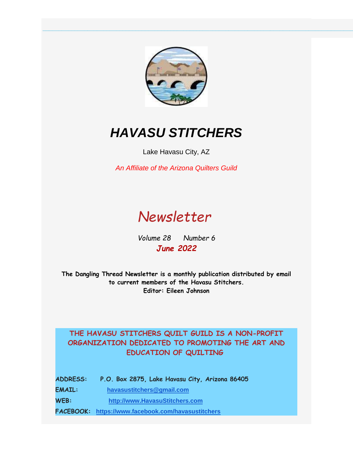

**\_\_\_\_\_\_\_\_\_\_\_\_\_\_\_\_\_\_\_\_\_\_\_\_\_\_\_\_\_\_\_\_\_\_\_\_\_\_\_\_\_\_\_\_\_\_\_\_\_\_\_\_\_\_\_\_\_\_\_\_\_\_\_\_\_\_\_\_\_\_\_\_\_\_\_\_\_\_\_\_\_\_\_\_\_\_\_\_\_\_\_\_\_\_\_\_\_\_\_\_\_\_\_\_\_\_\_\_\_\_\_\_\_\_\_\_\_\_\_\_\_\_\_\_\_\_\_\_\_\_\_\_\_\_\_\_\_\_\_\_\_\_\_\_\_\_\_\_\_\_\_\_\_\_\_\_\_\_\_\_\_**

# *HAVASU STITCHERS*

Lake Havasu City, AZ

*An Affiliate of the Arizona Quilters Guild*

# *Newsletter*

*Volume 28 Number 6 June 2022*

**The Dangling Thread Newsletter is a monthly publication distributed by email to current members of the Havasu Stitchers. Editor: Eileen Johnson**

### **THE HAVASU STITCHERS QUILT GUILD IS A NON-PROFIT ORGANIZATION DEDICATED TO PROMOTING THE ART AND EDUCATION OF QUILTING**

**ADDRESS: P.O. Box 2875, Lake Havasu City, Arizona 86405**

**EMAIL: [havasustitchers@gmail.com](mailto:havasustitchers@gmail.com)** 

**WEB: [http://www.HavasuStitchers.com](https://www.havasustitchers.com/EmailTracker/LinkTracker.ashx?linkAndRecipientCode=9GcMW0IC9wQUk0BKisDRx7yIDMW3tBPd1LtJ8%2fM1rQcx97NSTCCVMeQkq%2byEk83IYQf1z1FJW8ZJLzeKM04QJvcNliTRr2Yc4Vp1XPhn9Q8%3d)**

**FACEBOOK: [https://www.facebook.com/havasustitchers](https://www.havasustitchers.com/EmailTracker/LinkTracker.ashx?linkAndRecipientCode=0IpJg46wK8E%2fKiEB%2fuDemyUllqXpitjcDzTO1zCVnMwkKK4LojRSMnx0j%2bKOHs09mqg9DCJHqrFvVNqsEdVhBcEcCfcVxDK9QsRIaQBK2xU%3d)**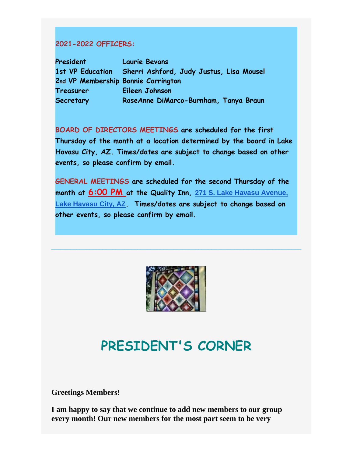#### **2021-2022 OFFICERS:**

**President Laurie Bevans 1st VP Education Sherri Ashford, Judy Justus, Lisa Mousel 2nd VP Membership Bonnie Carrington Treasurer Eileen Johnson Secretary RoseAnne DiMarco-Burnham, Tanya Braun**

**BOARD OF DIRECTORS MEETINGS are scheduled for the first Thursday of the month at a location determined by the board in Lake Havasu City, AZ. Times/dates are subject to change based on other events, so please confirm by email.**

**GENERAL MEETINGS are scheduled for the second Thursday of the month at 6:00 PM at the Quality Inn, [271 S. Lake Havasu Avenue,](https://www.google.com/maps/search/271+S.+Lake+Havasu+Avenue,+Lake+Havasu+City,+AZ?entry=gmail&source=g)  [Lake Havasu City, AZ](https://www.google.com/maps/search/271+S.+Lake+Havasu+Avenue,+Lake+Havasu+City,+AZ?entry=gmail&source=g). Times/dates are subject to change based on other events, so please confirm by email.** 



**\_\_\_\_\_\_\_\_\_\_\_\_\_\_\_\_\_\_\_\_\_\_\_\_\_\_\_\_\_\_\_\_\_\_\_\_\_\_\_\_\_\_\_\_\_\_\_\_\_\_\_\_\_\_\_\_\_\_\_\_\_\_\_\_\_\_\_\_\_\_\_\_\_\_\_\_\_\_**

# **PRESIDENT'S CORNER**

**Greetings Members!**

**I am happy to say that we continue to add new members to our group every month! Our new members for the most part seem to be very**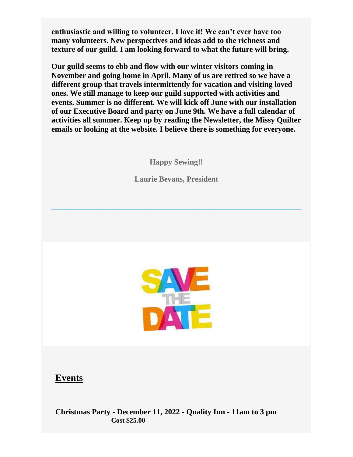**enthusiastic and willing to volunteer. I love it! We can't ever have too many volunteers. New perspectives and ideas add to the richness and texture of our guild. I am looking forward to what the future will bring.**

**Our guild seems to ebb and flow with our winter visitors coming in November and going home in April. Many of us are retired so we have a different group that travels intermittently for vacation and visiting loved ones. We still manage to keep our guild supported with activities and events. Summer is no different. We will kick off June with our installation of our Executive Board and party on June 9th. We have a full calendar of activities all summer. Keep up by reading the Newsletter, the Missy Quilter emails or looking at the website. I believe there is something for everyone.**

**Happy Sewing!!**

**Laurie Bevans, President**

**\_\_\_\_\_\_\_\_\_\_\_\_\_\_\_\_\_\_\_\_\_\_\_\_\_\_\_\_\_\_\_\_\_\_\_\_\_\_\_\_\_\_\_\_\_\_\_\_\_\_\_\_\_\_\_\_\_\_\_\_\_\_\_\_\_\_\_\_\_\_\_\_\_\_\_\_\_\_**



### **Events**

**Christmas Party - December 11, 2022 - Quality Inn - 11am to 3 pm Cost \$25.00**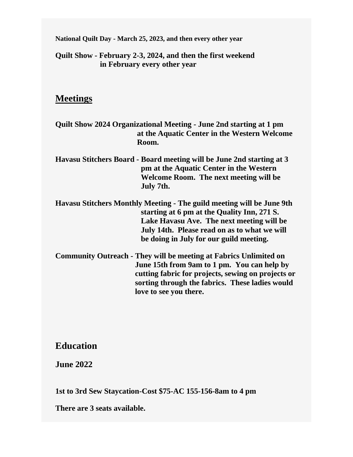**National Quilt Day - March 25, 2023, and then every other year**

**Quilt Show - February 2-3, 2024, and then the first weekend in February every other year**

### **Meetings**

- **Quilt Show 2024 Organizational Meeting - June 2nd starting at 1 pm at the Aquatic Center in the Western Welcome Room.**
- **Havasu Stitchers Board - Board meeting will be June 2nd starting at 3 pm at the Aquatic Center in the Western Welcome Room. The next meeting will be July 7th.**
- **Havasu Stitchers Monthly Meeting - The guild meeting will be June 9th starting at 6 pm at the Quality Inn, 271 S. Lake Havasu Ave. The next meeting will be July 14th. Please read on as to what we will be doing in July for our guild meeting.**
- **Community Outreach - They will be meeting at Fabrics Unlimited on June 15th from 9am to 1 pm. You can help by cutting fabric for projects, sewing on projects or sorting through the fabrics. These ladies would love to see you there.**

### **Education**

**June 2022**

**1st to 3rd Sew Staycation-Cost \$75-AC 155-156-8am to 4 pm**

**There are 3 seats available.**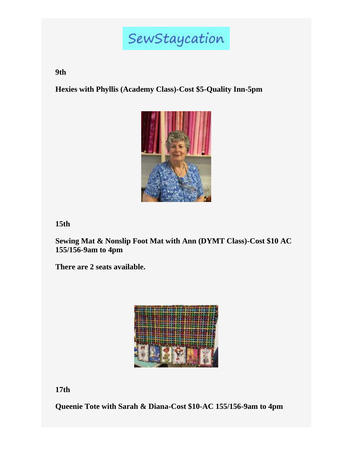# SewStaycation

**9th**

**Hexies with Phyllis (Academy Class)-Cost \$5-Quality Inn-5pm**



**15th**

**Sewing Mat & Nonslip Foot Mat with Ann (DYMT Class)-Cost \$10 AC 155/156-9am to 4pm**

**There are 2 seats available.**



**17th**

**Queenie Tote with Sarah & Diana-Cost \$10-AC 155/156-9am to 4pm**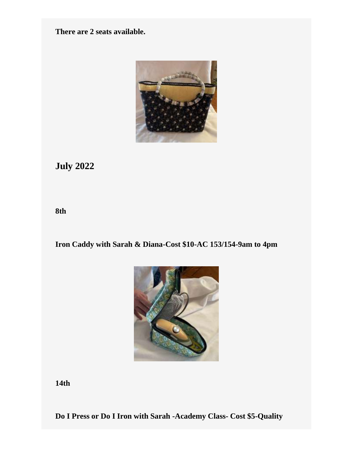**There are 2 seats available.**



## **July 2022**

**8th**

**Iron Caddy with Sarah & Diana-Cost \$10-AC 153/154-9am to 4pm**



**14th**

**Do I Press or Do I Iron with Sarah -Academy Class- Cost \$5-Quality**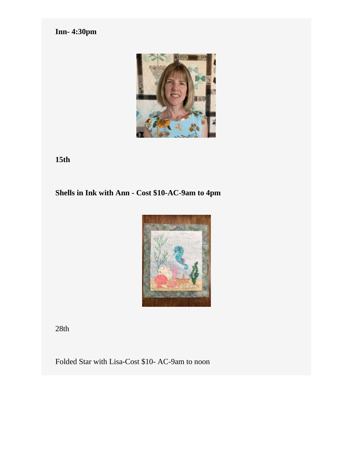**Inn- 4:30pm**



**15th**

## **Shells in Ink with Ann - Cost \$10-AC-9am to 4pm**



28th

Folded Star with Lisa-Cost \$10- AC-9am to noon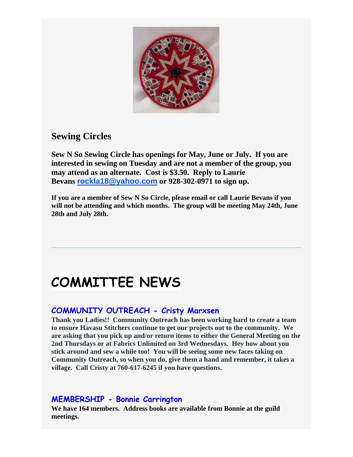

## **Sewing Circles**

**Sew N So Sewing Circle has openings for May, June or July. If you are interested in sewing on Tuesday and are not a member of the group, you may attend as an alternate. Cost is \$3.50. Reply to Laurie Bevans [rockla18@yahoo.com](mailto:rockla18@yahoo.com) or 928-302-0971 to sign up.** 

**If you are a member of Sew N So Circle, please email or call Laurie Bevans if you will not be attending and which months. The group will be meeting May 24th, June 28th and July 28th.** 

**\_\_\_\_\_\_\_\_\_\_\_\_\_\_\_\_\_\_\_\_\_\_\_\_\_\_\_\_\_\_\_\_\_\_\_\_\_\_\_\_\_\_\_\_\_\_\_\_\_\_\_\_\_\_\_\_\_\_\_\_\_\_\_\_\_\_\_\_\_\_\_\_\_\_\_\_\_\_**

# **COMMITTEE NEWS**

### **COMMUNITY OUTREACH - Cristy Marxsen**

**Thank you Ladies!! Community Outreach has been working hard to create a team to ensure Havasu Stitchers continue to get our projects out to the community. We are asking that you pick up and/or return items to either the General Meeting on the 2nd Thursdays or at Fabrics Unlimited on 3rd Wednesdays. Hey how about you stick around and sew a while too! You will be seeing some new faces taking on Community Outreach, so when you do, give them a hand and remember, it takes a village. Call Cristy at 760-617-6245 if you have questions.**

#### **MEMBERSHIP - Bonnie Carrington**

**We have 164 members. Address books are available from Bonnie at the guild meetings.**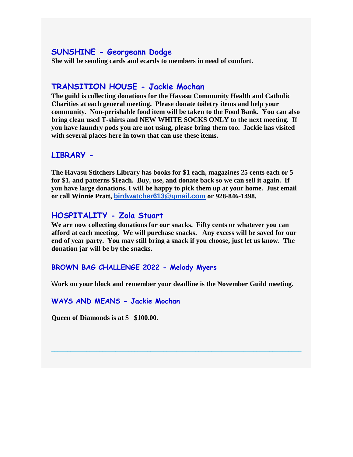#### **SUNSHINE - Georgeann Dodge**

**She will be sending cards and ecards to members in need of comfort.** 

#### **TRANSITION HOUSE - Jackie Mochan**

**The guild is collecting donations for the Havasu Community Health and Catholic Charities at each general meeting. Please donate toiletry items and help your community. Non-perishable food item will be taken to the Food Bank. You can also bring clean used T-shirts and NEW WHITE SOCKS ONLY to the next meeting. If you have laundry pods you are not using, please bring them too. Jackie has visited with several places here in town that can use these items.**

#### **LIBRARY -**

**The Havasu Stitchers Library has books for \$1 each, magazines 25 cents each or 5 for \$1, and patterns \$1each. Buy, use, and donate back so we can sell it again. If you have large donations, I will be happy to pick them up at your home. Just email or call Winnie Pratt, [birdwatcher613@gmail.com](mailto:birdwatcher613@gmail.com) or 928-846-1498.**

#### **HOSPITALITY - Zola Stuart**

**We are now collecting donations for our snacks. Fifty cents or whatever you can afford at each meeting. We will purchase snacks. Any excess will be saved for our end of year party. You may still bring a snack if you choose, just let us know. The donation jar will be by the snacks.**

#### **BROWN BAG CHALLENGE 2022 - Melody Myers**

W**ork on your block and remember your deadline is the November Guild meeting.** 

**\_\_\_\_\_\_\_\_\_\_\_\_\_\_\_\_\_\_\_\_\_\_\_\_\_\_\_\_\_\_\_\_\_\_\_\_\_\_\_\_\_\_\_\_\_\_\_\_\_\_\_\_\_\_\_\_\_\_\_\_\_\_\_\_\_\_\_\_\_\_\_\_\_\_\_\_\_\_**

#### **WAYS AND MEANS - Jackie Mochan**

**Queen of Diamonds is at \$ \$100.00.**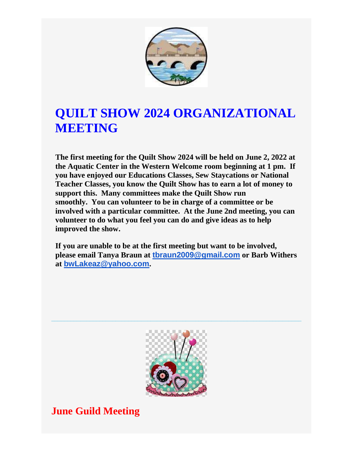

# **QUILT SHOW 2024 ORGANIZATIONAL MEETING**

**The first meeting for the Quilt Show 2024 will be held on June 2, 2022 at the Aquatic Center in the Western Welcome room beginning at 1 pm. If you have enjoyed our Educations Classes, Sew Staycations or National Teacher Classes, you know the Quilt Show has to earn a lot of money to support this. Many committees make the Quilt Show run smoothly. You can volunteer to be in charge of a committee or be involved with a particular committee. At the June 2nd meeting, you can volunteer to do what you feel you can do and give ideas as to help improved the show.**

**If you are unable to be at the first meeting but want to be involved, please email Tanya Braun at [tbraun2009@gmail.com](mailto:tbraun2009@gmail.com) or Barb Withers at [bwLakeaz@yahoo.com](mailto:bwLakeaz@yahoo.com).** 



**\_\_\_\_\_\_\_\_\_\_\_\_\_\_\_\_\_\_\_\_\_\_\_\_\_\_\_\_\_\_\_\_\_\_\_\_\_\_\_\_\_\_\_\_\_\_\_\_\_\_\_\_\_\_\_\_\_\_\_\_\_\_\_\_\_\_\_\_\_\_\_\_\_\_\_\_\_\_**

## **June Guild Meeting**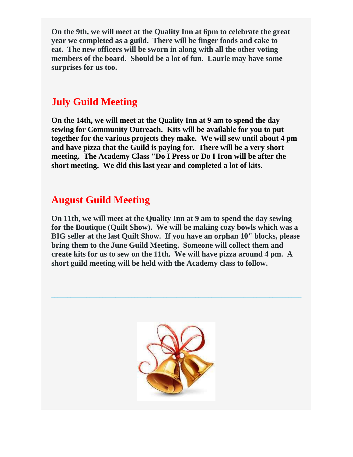**On the 9th, we will meet at the Quality Inn at 6pm to celebrate the great year we completed as a guild. There will be finger foods and cake to eat. The new officers will be sworn in along with all the other voting members of the board. Should be a lot of fun. Laurie may have some surprises for us too.**

## **July Guild Meeting**

**On the 14th, we will meet at the Quality Inn at 9 am to spend the day sewing for Community Outreach. Kits will be available for you to put together for the various projects they make. We will sew until about 4 pm and have pizza that the Guild is paying for. There will be a very short meeting. The Academy Class "Do I Press or Do I Iron will be after the short meeting. We did this last year and completed a lot of kits.** 

## **August Guild Meeting**

**On 11th, we will meet at the Quality Inn at 9 am to spend the day sewing for the Boutique (Quilt Show). We will be making cozy bowls which was a BIG seller at the last Quilt Show. If you have an orphan 10" blocks, please bring them to the June Guild Meeting. Someone will collect them and create kits for us to sew on the 11th. We will have pizza around 4 pm. A short guild meeting will be held with the Academy class to follow.**

**\_\_\_\_\_\_\_\_\_\_\_\_\_\_\_\_\_\_\_\_\_\_\_\_\_\_\_\_\_\_\_\_\_\_\_\_\_\_\_\_\_\_\_\_\_\_\_\_\_\_\_\_\_\_\_\_\_\_\_\_\_\_\_\_\_\_\_\_\_\_\_\_\_\_\_\_\_\_**

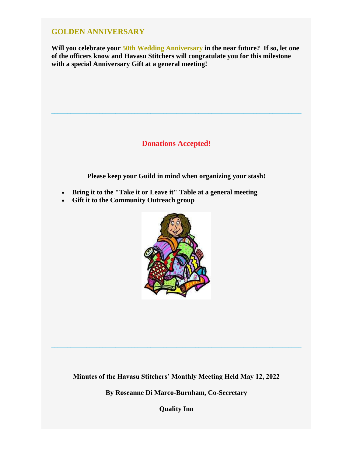#### **GOLDEN ANNIVERSARY**

**Will you celebrate your 50th Wedding Anniversary in the near future? If so, let one of the officers know and Havasu Stitchers will congratulate you for this milestone with a special Anniversary Gift at a general meeting!**

### **Donations Accepted!**

**\_\_\_\_\_\_\_\_\_\_\_\_\_\_\_\_\_\_\_\_\_\_\_\_\_\_\_\_\_\_\_\_\_\_\_\_\_\_\_\_\_\_\_\_\_\_\_\_\_\_\_\_\_\_\_\_\_\_\_\_\_\_\_\_\_\_\_\_\_\_\_\_\_\_\_\_\_\_**

**Please keep your Guild in mind when organizing your stash!**

- **Bring it to the "Take it or Leave it" Table at a general meeting**
- **Gift it to the Community Outreach group**



**Minutes of the Havasu Stitchers' Monthly Meeting Held May 12, 2022**

**\_\_\_\_\_\_\_\_\_\_\_\_\_\_\_\_\_\_\_\_\_\_\_\_\_\_\_\_\_\_\_\_\_\_\_\_\_\_\_\_\_\_\_\_\_\_\_\_\_\_\_\_\_\_\_\_\_\_\_\_\_\_\_\_\_\_\_\_\_\_\_\_\_\_\_\_\_\_**

**By Roseanne Di Marco-Burnham, Co-Secretary**

**Quality Inn**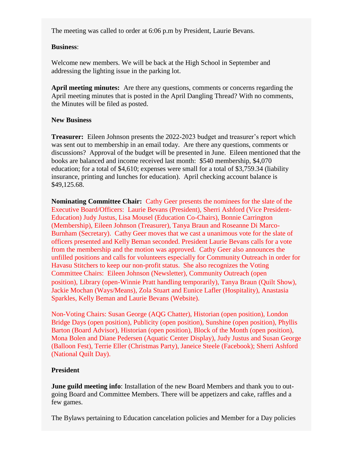The meeting was called to order at 6:06 p.m by President, Laurie Bevans.

#### **Business**:

Welcome new members. We will be back at the High School in September and addressing the lighting issue in the parking lot.

**April meeting minutes:** Are there any questions, comments or concerns regarding the April meeting minutes that is posted in the April Dangling Thread? With no comments, the Minutes will be filed as posted.

#### **New Business**

**Treasurer:** Eileen Johnson presents the 2022-2023 budget and treasurer's report which was sent out to membership in an email today. Are there any questions, comments or discussions? Approval of the budget will be presented in June. Eileen mentioned that the books are balanced and income received last month: \$540 membership, \$4,070 education; for a total of \$4,610; expenses were small for a total of \$3,759.34 (liability insurance, printing and lunches for education). April checking account balance is \$49,125.68.

**Nominating Committee Chair:** Cathy Geer presents the nominees for the slate of the Executive Board/Officers: Laurie Bevans (President), Sherri Ashford (Vice President-Education) Judy Justus, Lisa Mousel (Education Co-Chairs), Bonnie Carrington (Membership), Eileen Johnson (Treasurer), Tanya Braun and Roseanne Di Marco-Burnham (Secretary). Cathy Geer moves that we cast a unanimous vote for the slate of officers presented and Kelly Beman seconded. President Laurie Bevans calls for a vote from the membership and the motion was approved. Cathy Geer also announces the unfilled positions and calls for volunteers especially for Community Outreach in order for Havasu Stitchers to keep our non-profit status. She also recognizes the Voting Committee Chairs: Eileen Johnson (Newsletter), Community Outreach (open position), Library (open-Winnie Pratt handling temporarily), Tanya Braun (Quilt Show), Jackie Mochan (Ways/Means), Zola Stuart and Eunice Lafler (Hospitality), Anastasia Sparkles, Kelly Beman and Laurie Bevans (Website).

Non-Voting Chairs: Susan George (AQG Chatter), Historian (open position), London Bridge Days (open position), Publicity (open position), Sunshine (open position), Phyllis Barton (Board Advisor), Historian (open position), Block of the Month (open position), Mona Bolen and Diane Pedersen (Aquatic Center Display), Judy Justus and Susan George (Balloon Fest), Terrie Eller (Christmas Party), Janeice Steele (Facebook); Sherri Ashford (National Quilt Day).

#### **President**

**June guild meeting info**: Installation of the new Board Members and thank you to outgoing Board and Committee Members. There will be appetizers and cake, raffles and a few games.

The Bylaws pertaining to Education cancelation policies and Member for a Day policies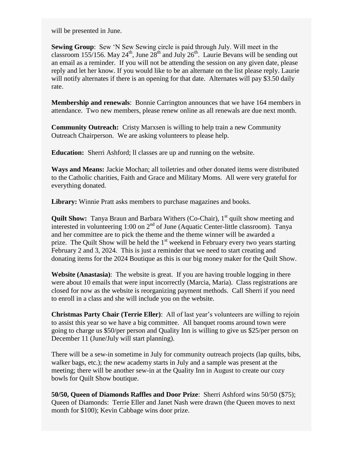will be presented in June.

**Sewing Group**: Sew 'N Sew Sewing circle is paid through July. Will meet in the classroom 155/156. May 24<sup>th</sup>, June 28<sup>th</sup> and July 26<sup>th</sup>. Laurie Bevans will be sending out an email as a reminder. If you will not be attending the session on any given date, please reply and let her know. If you would like to be an alternate on the list please reply. Laurie will notify alternates if there is an opening for that date. Alternates will pay \$3.50 daily rate.

**Membership and renewals**: Bonnie Carrington announces that we have 164 members in attendance. Two new members, please renew online as all renewals are due next month.

**Community Outreach:** Cristy Marxsen is willing to help train a new Community Outreach Chairperson. We are asking volunteers to please help.

**Education:** Sherri Ashford; ll classes are up and running on the website.

**Ways and Means:** Jackie Mochan; all toiletries and other donated items were distributed to the Catholic charities, Faith and Grace and Military Moms. All were very grateful for everything donated.

**Library:** Winnie Pratt asks members to purchase magazines and books.

**Quilt Show:** Tanya Braun and Barbara Withers (Co-Chair), 1<sup>st</sup> quilt show meeting and interested in volunteering 1:00 on  $2<sup>nd</sup>$  of June (Aquatic Center-little classroom). Tanya and her committee are to pick the theme and the theme winner will be awarded a prize. The Quilt Show will be held the  $1<sup>st</sup>$  weekend in February every two years starting February 2 and 3, 2024. This is just a reminder that we need to start creating and donating items for the 2024 Boutique as this is our big money maker for the Quilt Show.

**Website (Anastasia)**: The website is great. If you are having trouble logging in there were about 10 emails that were input incorrectly (Marcia, Maria). Class registrations are closed for now as the website is reorganizing payment methods. Call Sherri if you need to enroll in a class and she will include you on the website.

**Christmas Party Chair (Terrie Eller)**: All of last year's volunteers are willing to rejoin to assist this year so we have a big committee. All banquet rooms around town were going to charge us \$50/per person and Quality Inn is willing to give us \$25/per person on December 11 (June/July will start planning).

There will be a sew-in sometime in July for community outreach projects (lap quilts, bibs, walker bags, etc.); the new academy starts in July and a sample was present at the meeting; there will be another sew-in at the Quality Inn in August to create our cozy bowls for Quilt Show boutique.

**50/50, Queen of Diamonds Raffles and Door Prize**: Sherri Ashford wins 50/50 (\$75); Queen of Diamonds: Terrie Eller and Janet Nash were drawn (the Queen moves to next month for \$100); Kevin Cabbage wins door prize.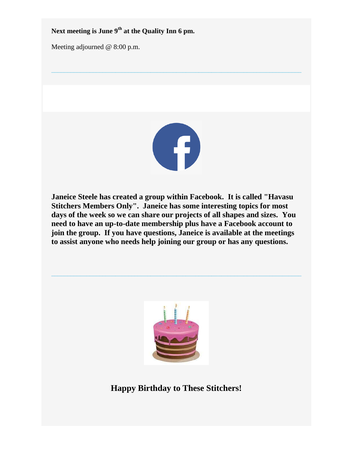**Next meeting is June 9th at the Quality Inn 6 pm.**

Meeting adjourned @ 8:00 p.m.



**\_\_\_\_\_\_\_\_\_\_\_\_\_\_\_\_\_\_\_\_\_\_\_\_\_\_\_\_\_\_\_\_\_\_\_\_\_\_\_\_\_\_\_\_\_\_\_\_\_\_\_\_\_\_\_\_\_\_\_\_\_\_\_\_\_\_\_\_\_\_\_\_\_\_\_\_\_\_**

**Janeice Steele has created a group within Facebook. It is called "Havasu Stitchers Members Only". Janeice has some interesting topics for most days of the week so we can share our projects of all shapes and sizes. You need to have an up-to-date membership plus have a Facebook account to join the group. If you have questions, Janeice is available at the meetings to assist anyone who needs help joining our group or has any questions.**



**\_\_\_\_\_\_\_\_\_\_\_\_\_\_\_\_\_\_\_\_\_\_\_\_\_\_\_\_\_\_\_\_\_\_\_\_\_\_\_\_\_\_\_\_\_\_\_\_\_\_\_\_\_\_\_\_\_\_\_\_\_\_\_\_\_\_\_\_\_\_\_\_\_\_\_\_\_\_**

**Happy Birthday to These Stitchers!**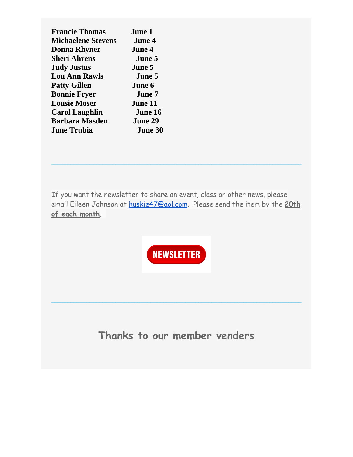| <b>Francie Thomas</b>     | <b>June 1</b>  |
|---------------------------|----------------|
| <b>Michaelene Stevens</b> | <b>June 4</b>  |
| <b>Donna Rhyner</b>       | <b>June 4</b>  |
| <b>Sheri Ahrens</b>       | June 5         |
| <b>Judy Justus</b>        | <b>June 5</b>  |
| <b>Lou Ann Rawls</b>      | June 5         |
| <b>Patty Gillen</b>       | June 6         |
| <b>Bonnie Fryer</b>       | June 7         |
| <b>Lousie Moser</b>       | June 11        |
| <b>Carol Laughlin</b>     | June 16        |
| <b>Barbara Masden</b>     | June 29        |
| <b>June Trubia</b>        | <b>June 30</b> |
|                           |                |

If you want the newsletter to share an event, class or other news, please email Eileen Johnson at [huskie47@aol.com.](mailto:huskie47@aol.com) Please send the item by the **20th of each month**.

**\_\_\_\_\_\_\_\_\_\_\_\_\_\_\_\_\_\_\_\_\_\_\_\_\_\_\_\_\_\_\_\_\_\_\_\_\_\_\_\_\_\_\_\_\_\_\_\_\_\_\_\_\_\_\_\_\_\_\_\_\_\_\_\_\_\_\_\_\_\_\_\_\_\_\_\_\_\_**



**Thanks to our member venders**

**\_\_\_\_\_\_\_\_\_\_\_\_\_\_\_\_\_\_\_\_\_\_\_\_\_\_\_\_\_\_\_\_\_\_\_\_\_\_\_\_\_\_\_\_\_\_\_\_\_\_\_\_\_\_\_\_\_\_\_\_\_\_\_\_\_\_\_\_\_\_\_\_\_\_\_\_\_\_**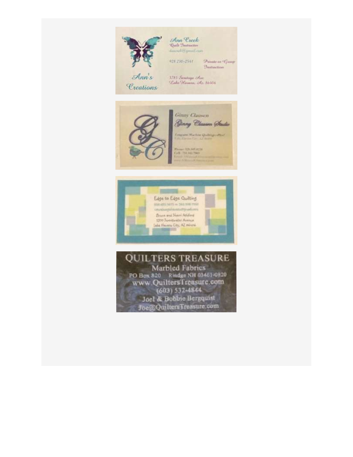

Creations

Ann Creek<br>Quili Dastmeter Annoual U. gamil Comm

928.230-2541 Showite as Group *<u>Instruction</u>* 

1785 Suretage Ave. Lake Haman, Az 86406





**QUILTERS TREASURE** Marbled Fabrics<br>PO Box 820 Rindge NH 03461-0820 www.QuiltersTreasure.com  $(603) 532 - 4844$ Joel & Bobbie Bergquist Joe@QuiltersTreasure.com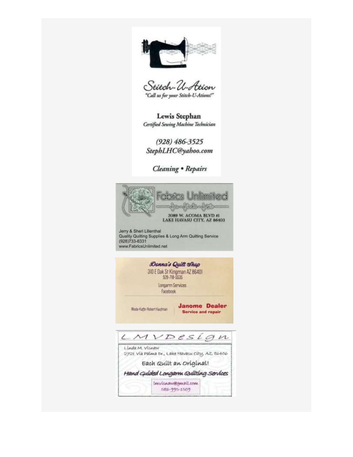

Stitch-U-Ation "Call us for your Stitch-U-Ations!"

Lewis Stephan Certified Sewing Machine Technician

 $(928) 486 - 3525$ StephLHC@yahoo.com

Cleaning . Repairs